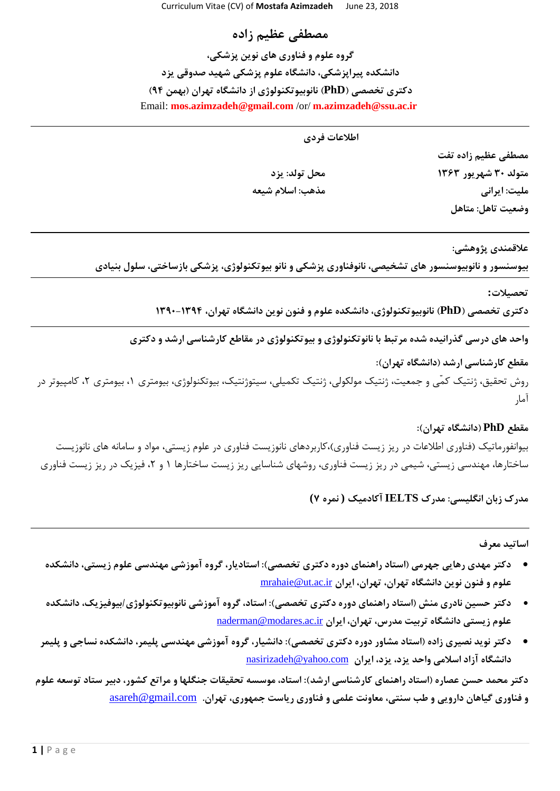**مصطفی عظیم زاده گروه علوم و فناوری های نوین پزشکی، دانشکده پیراپزشکی، دانشگاه علوم پزشکی شهید صدوقی یزد دکتری تخصصی )PhD )نانوبیوتکنولوژی از دانشگاه تهران )بهمن 94(** Email: **mos.azimzadeh@gmail.com** /or/ **m.azimzadeh@ssu.ac.ir**

**اطالعات فردی**

**مصطفی عظیم زاده تفت متولد 30 شهریور 1363 محل تولد: یزد ملیت: ایرانی مذهب: اسالم شیعه وضعیت تاهل: متاهل**

**عالقمندی پژوهشی:**

**بیوسنسور و نانوبیوسنسور های تشخیصی، نانوفناوری پزشکی و نانو بیوتکنولوژی، پزشکی بازساختی، سلول بنیادی**

**تحصیالت:**

**دکتری تخصصی )PhD )نانوبیوتکنولوژی، دانشکده علوم و فنون نوین دانشگاه تهران، 1390-1394**

**واحد های درسی گذرانیده شده مرتبط با نانوتکنولوژی و بیوتکنولوژی در مقاطع کارشناسی ارشد و دکتری**

**مقطع کارشناسی ارشد )دانشگاه تهران(:**

روش تحقیق، ژنتیک کمّی و جمعیت، ژنتیک مولکولی، ژنتیک تکمیلی، سیتوژنتیک، بیوتکنولوژی، بیومتری ،1 بیومتری ،2 کامپیوتر در آمار

## **مقطع PhD( دانشگاه تهران(:**

بیوانفورماتیک )فناوری اطالعات در ريز زيست فناوری(،کاربردهای نانوزيست فناوری در علوم زيستی، مواد و سامانه های نانوزيست ساختارها، مهندسی زيستی، شیمی در ريز زيست فناوری، روشهای شناسايی ريز زيست ساختارها ١ و ٢، فيزيک در ريز زيست فناوری

**مدرک زبان انگلیسی: مدرک IELTS آکادمیک ( نمره 7)**

**اساتید معرف**

- **دکتر مهدی رهایی جهرمی )استاد راهنمای دوره دکتری تخصصی(: استادیار، گروه آموزشی مهندسی علوم زیستی، دانشکده علوم و فنون نوین دانشگاه تهران، تهران، ایران** [ir.ac.ut@mrahaie](mailto:mrahaie@ut.ac.ir)
- **دکتر حسین نادری منش )استاد راهنمای دوره دکتری تخصصی(: استاد، گروه آموزشی نانوبیوتکنولوژی/بیوفیزیک، دانشکده**  علوم زیستی دانشگاه تربیت مدرس، تهران، ایران naderman@modares.ac.ir
- **دکتر نوید نصیری زاده )استاد مشاور دوره دکتری تخصصی(: دانشیار، گروه آموزشی مهندسی پلیمر، دانشکده نساجی و پلیمر دانشگاه آزاد اسالمی واحد یزد، یزد، ایران**[com.yahoo@nasirizadeh](mailto:nasirizadeh@yahoo.com)

**دکتر محمد حسن عصاره )استاد راهنمای کارشناسی ارشد(: استاد، موسسه تحقیقات جنگلها و مراتع کشور، دبیر ستاد توسعه علوم و فناوری گیاهان دارویی و طب سنتی، معاونت علمی و فناوری ریاست جمهوری، تهران.** [com.gmail@asareh](mailto:asareh@gmail.com)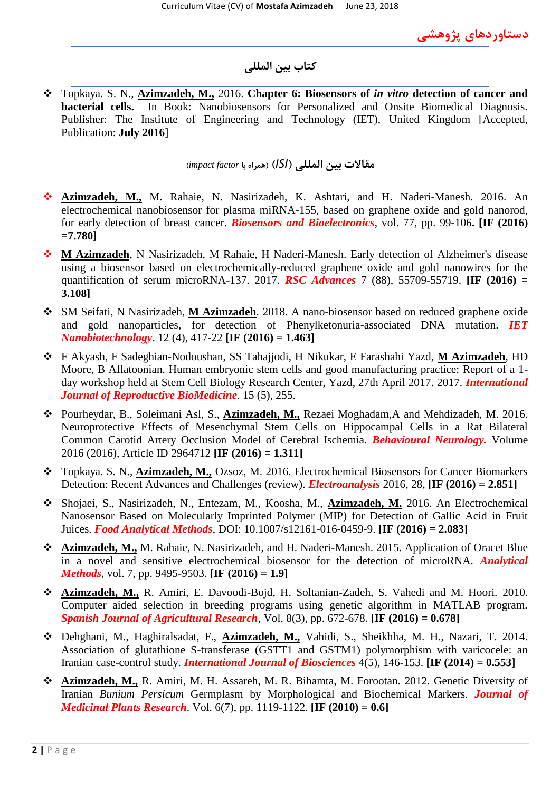**دستاوردهای پژوهشی**

## **کتاب بین المللی**

 Topkaya. S. N., **Azimzadeh, M.,** 2016. **Chapter 6: Biosensors of** *in vitro* **detection of cancer and bacterial cells.** In Book: Nanobiosensors for Personalized and Onsite Biomedical Diagnosis. Publisher: The Institute of Engineering and Technology (IET), United Kingdom [Accepted, Publication: **July 2016**]

**مقاالت بین المللی )***ISI***( )همراه با** *factor impact***)**

- **Azimzadeh, M.,** M. Rahaie, N. Nasirizadeh, K. Ashtari, and H. Naderi-Manesh. 2016. An electrochemical nanobiosensor for plasma miRNA-155, based on graphene oxide and gold nanorod, for early detection of breast cancer. *Biosensors and Bioelectronics*, vol. 77, pp. 99-106**. [IF (2016) =7.780]**
- **M Azimzadeh**, N Nasirizadeh, M Rahaie, H Naderi-Manesh. Early detection of Alzheimer's disease using a biosensor based on electrochemically-reduced graphene oxide and gold nanowires for the quantification of serum microRNA-137. 2017. *RSC Advances* 7 (88), 55709-55719. **[IF (2016) = 3.108]**
- SM Seifati, N Nasirizadeh, **M Azimzadeh**. 2018. A nano-biosensor based on reduced graphene oxide and gold nanoparticles, for detection of Phenylketonuria-associated DNA mutation. *IET Nanobiotechnology*. 12 (4), 417-22 **[IF (2016) = 1.463]**
- F Akyash, F Sadeghian-Nodoushan, SS Tahajjodi, H Nikukar, E Farashahi Yazd, **M Azimzadeh**, HD Moore, B Aflatoonian. Human embryonic stem cells and good manufacturing practice: Report of a 1 day workshop held at Stem Cell Biology Research Center, Yazd, 27th April 2017. 2017. *International Journal of Reproductive BioMedicine*. 15 (5), 255.
- Pourheydar, B., Soleimani Asl, S., **Azimzadeh, M.,** Rezaei Moghadam,A and Mehdizadeh, M. 2016. Neuroprotective Effects of Mesenchymal Stem Cells on Hippocampal Cells in a Rat Bilateral Common Carotid Artery Occlusion Model of Cerebral Ischemia. *Behavioural Neurology.* Volume 2016 (2016), Article ID 2964712 **[IF (2016) = 1.311]**
- Topkaya. S. N., **Azimzadeh, M.,** Ozsoz, M. 2016. Electrochemical Biosensors for Cancer Biomarkers Detection: Recent Advances and Challenges (review). *Electroanalysis* 2016, 28, **[IF (2016) = 2.851]**
- Shojaei, S., Nasirizadeh, N., Entezam, M., Koosha, M., **Azimzadeh, M.** 2016. An Electrochemical Nanosensor Based on Molecularly Imprinted Polymer (MIP) for Detection of Gallic Acid in Fruit Juices. *Food Analytical Methods*, DOI: 10.1007/s12161-016-0459-9. **[IF (2016) = 2.083]**
- **Azimzadeh, M.,** M. Rahaie, N. Nasirizadeh, and H. Naderi-Manesh. 2015. Application of Oracet Blue in a novel and sensitive electrochemical biosensor for the detection of microRNA. *Analytical Methods*, vol. 7, pp. 9495-9503. **[IF (2016) = 1.9]**
- **Azimzadeh, M.,** R. Amiri, E. Davoodi-Bojd, H. Soltanian-Zadeh, S. Vahedi and M. Hoori. 2010. Computer aided selection in breeding programs using genetic algorithm in MATLAB program. *Spanish Journal of Agricultural Research*, Vol. 8(3), pp. 672-678. **[IF (2016) = 0.678]**
- Dehghani, M., Haghiralsadat, F., **Azimzadeh, M.,** Vahidi, S., Sheikhha, M. H., Nazari, T. 2014. Association of glutathione S-transferase (GSTT1 and GSTM1) polymorphism with varicocele: an Iranian case-control study. *International Journal of Biosciences* 4(5), 146-153. **[IF (2014) = 0.553]**
- **Azimzadeh, M.,** R. Amiri, M. H. Assareh, M. R. Bihamta, M. Forootan. 2012. Genetic Diversity of Iranian *Bunium Persicum* Germplasm by Morphological and Biochemical Markers. *Journal of Medicinal Plants Research*. Vol. 6(7), pp. 1119-1122. **[IF (2010) = 0.6]**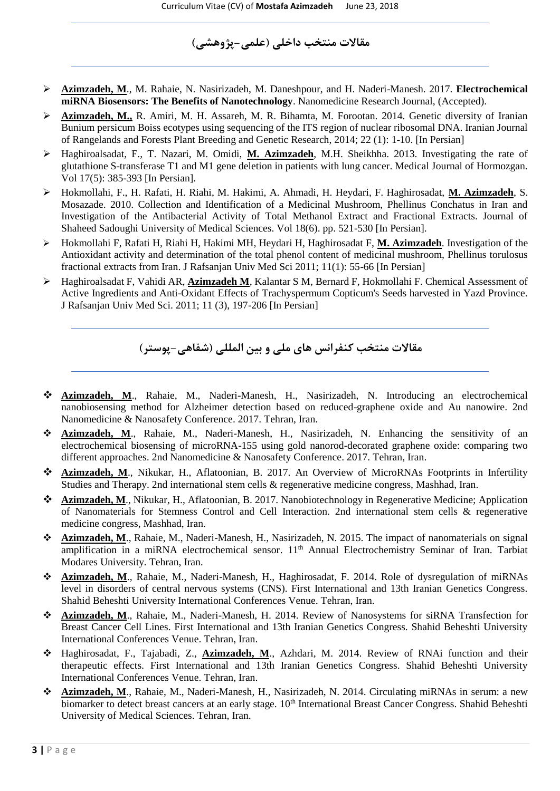## **مقاالت منتخب داخلی )علمی-پژوهشی(**

- **Azimzadeh, M**., M. Rahaie, N. Nasirizadeh, M. Daneshpour, and H. Naderi-Manesh. 2017. **Electrochemical miRNA Biosensors: The Benefits of Nanotechnology.** Nanomedicine Research Journal, (Accepted).
- **Azimzadeh, M.,** R. Amiri, M. H. Assareh, M. R. Bihamta, M. Forootan. 2014. Genetic diversity of Iranian Bunium persicum Boiss ecotypes using sequencing of the ITS region of nuclear ribosomal DNA. Iranian Journal of Rangelands and Forests Plant Breeding and Genetic Research, 2014; 22 (1): 1-10. [In Persian]
- Haghiroalsadat, F., T. Nazari, M. Omidi, **M. Azimzadeh**, M.H. Sheikhha. 2013. Investigating the rate of glutathione S-transferase T1 and M1 gene deletion in patients with lung cancer. Medical Journal of Hormozgan. Vol 17(5): 385-393 [In Persian].
- Hokmollahi, F., H. Rafati, H. Riahi, M. Hakimi, A. Ahmadi, H. Heydari, F. Haghirosadat, **M. Azimzadeh**, S. Mosazade. 2010. Collection and Identification of a Medicinal Mushroom, Phellinus Conchatus in Iran and Investigation of the Antibacterial Activity of Total Methanol Extract and Fractional Extracts. Journal of Shaheed Sadoughi University of Medical Sciences. Vol 18(6). pp. 521-530 [In Persian].
- Hokmollahi F, Rafati H, Riahi H, Hakimi MH, Heydari H, Haghirosadat F, **M. Azimzadeh**. Investigation of the Antioxidant activity and determination of the total phenol content of medicinal mushroom, Phellinus torulosus fractional extracts from Iran. J Rafsanjan Univ Med Sci 2011; 11(1): 55-66 [In Persian]
- Haghiroalsadat F, Vahidi AR, **Azimzadeh M**, Kalantar S M, Bernard F, Hokmollahi F. Chemical Assessment of Active Ingredients and Anti-Oxidant Effects of Trachyspermum Copticum's Seeds harvested in Yazd Province. J Rafsanjan Univ Med Sci. 2011; 11 (3), 197-206 [In Persian]

**مقاالت منتخب کنفرانس های ملی و بین المللی )شفاهی-پوستر(**

- **Azimzadeh, M**., Rahaie, M., Naderi-Manesh, H., Nasirizadeh, N. Introducing an electrochemical nanobiosensing method for Alzheimer detection based on reduced-graphene oxide and Au nanowire. 2nd Nanomedicine & Nanosafety Conference. 2017. Tehran, Iran.
- **Azimzadeh, M**., Rahaie, M., Naderi-Manesh, H., Nasirizadeh, N. Enhancing the sensitivity of an electrochemical biosensing of microRNA-155 using gold nanorod-decorated graphene oxide: comparing two different approaches. 2nd Nanomedicine & Nanosafety Conference. 2017. Tehran, Iran.
- **Azimzadeh, M**., Nikukar, H., Aflatoonian, B. 2017. An Overview of MicroRNAs Footprints in Infertility Studies and Therapy. 2nd international stem cells & regenerative medicine congress, Mashhad, Iran.
- **Azimzadeh, M**., Nikukar, H., Aflatoonian, B. 2017. Nanobiotechnology in Regenerative Medicine; Application of Nanomaterials for Stemness Control and Cell Interaction. 2nd international stem cells & regenerative medicine congress, Mashhad, Iran.
- **Azimzadeh, M**., Rahaie, M., Naderi-Manesh, H., Nasirizadeh, N. 2015. The impact of nanomaterials on signal amplification in a miRNA electrochemical sensor. 11<sup>th</sup> Annual Electrochemistry Seminar of Iran. Tarbiat Modares University. Tehran, Iran.
- **Azimzadeh, M**., Rahaie, M., Naderi-Manesh, H., Haghirosadat, F. 2014. Role of dysregulation of miRNAs level in disorders of central nervous systems (CNS). First International and 13th Iranian Genetics Congress. Shahid Beheshti University International Conferences Venue. Tehran, Iran.
- **Azimzadeh, M**., Rahaie, M., Naderi-Manesh, H. 2014. Review of Nanosystems for siRNA Transfection for Breast Cancer Cell Lines. First International and 13th Iranian Genetics Congress. Shahid Beheshti University International Conferences Venue. Tehran, Iran.
- Haghirosadat, F., Tajabadi, Z., **Azimzadeh, M**., Azhdari, M. 2014. Review of RNAi function and their therapeutic effects. First International and 13th Iranian Genetics Congress. Shahid Beheshti University International Conferences Venue. Tehran, Iran.
- **Azimzadeh, M**., Rahaie, M., Naderi-Manesh, H., Nasirizadeh, N. 2014. Circulating miRNAs in serum: a new biomarker to detect breast cancers at an early stage. 10<sup>th</sup> International Breast Cancer Congress. Shahid Beheshti University of Medical Sciences. Tehran, Iran.